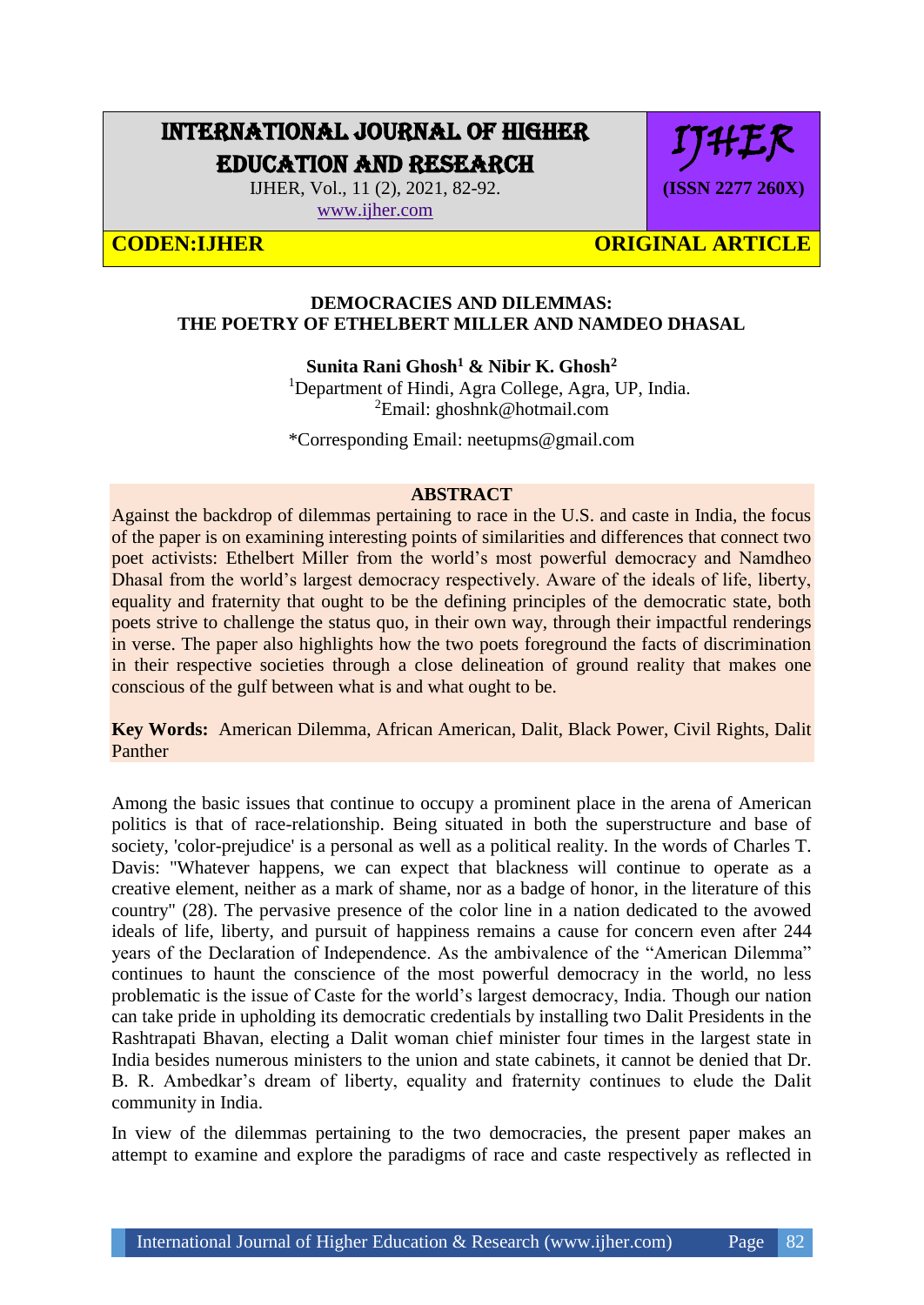# INTERNATIONAL JOURNAL OF HIGHER EDUCATION AND RESEARCH

IJHER, Vol., 11 (2), 2021, 82-92. [www.ijher.com](http://www.ijher.com/)

IJHER **(ISSN 2277 260X)**

# **CODEN:IJHER ORIGINAL ARTICLE**

## **DEMOCRACIES AND DILEMMAS: THE POETRY OF ETHELBERT MILLER AND NAMDEO DHASAL**

**Sunita Rani Ghosh<sup>1</sup> & Nibir K. Ghosh<sup>2</sup>**

<sup>1</sup>Department of Hindi, Agra College, Agra, UP, India.  ${}^{2}$ Email: [ghoshnk@hotmail.com](mailto:ghoshnk@hotmail.com)

\*Corresponding Email: neetupms@gmail.com

#### **ABSTRACT**

Against the backdrop of dilemmas pertaining to race in the U.S. and caste in India, the focus of the paper is on examining interesting points of similarities and differences that connect two poet activists: Ethelbert Miller from the world's most powerful democracy and Namdheo Dhasal from the world's largest democracy respectively. Aware of the ideals of life, liberty, equality and fraternity that ought to be the defining principles of the democratic state, both poets strive to challenge the status quo, in their own way, through their impactful renderings in verse. The paper also highlights how the two poets foreground the facts of discrimination in their respective societies through a close delineation of ground reality that makes one conscious of the gulf between what is and what ought to be.

**Key Words:** American Dilemma, African American, Dalit, Black Power, Civil Rights, Dalit Panther

Among the basic issues that continue to occupy a prominent place in the arena of American politics is that of race-relationship. Being situated in both the superstructure and base of society, 'color-prejudice' is a personal as well as a political reality. In the words of Charles T. Davis: "Whatever happens, we can expect that blackness will continue to operate as a creative element, neither as a mark of shame, nor as a badge of honor, in the literature of this country" (28). The pervasive presence of the color line in a nation dedicated to the avowed ideals of life, liberty, and pursuit of happiness remains a cause for concern even after 244 years of the Declaration of Independence. As the ambivalence of the "American Dilemma" continues to haunt the conscience of the most powerful democracy in the world, no less problematic is the issue of Caste for the world's largest democracy, India. Though our nation can take pride in upholding its democratic credentials by installing two Dalit Presidents in the Rashtrapati Bhavan, electing a Dalit woman chief minister four times in the largest state in India besides numerous ministers to the union and state cabinets, it cannot be denied that Dr. B. R. Ambedkar's dream of liberty, equality and fraternity continues to elude the Dalit community in India.

In view of the dilemmas pertaining to the two democracies, the present paper makes an attempt to examine and explore the paradigms of race and caste respectively as reflected in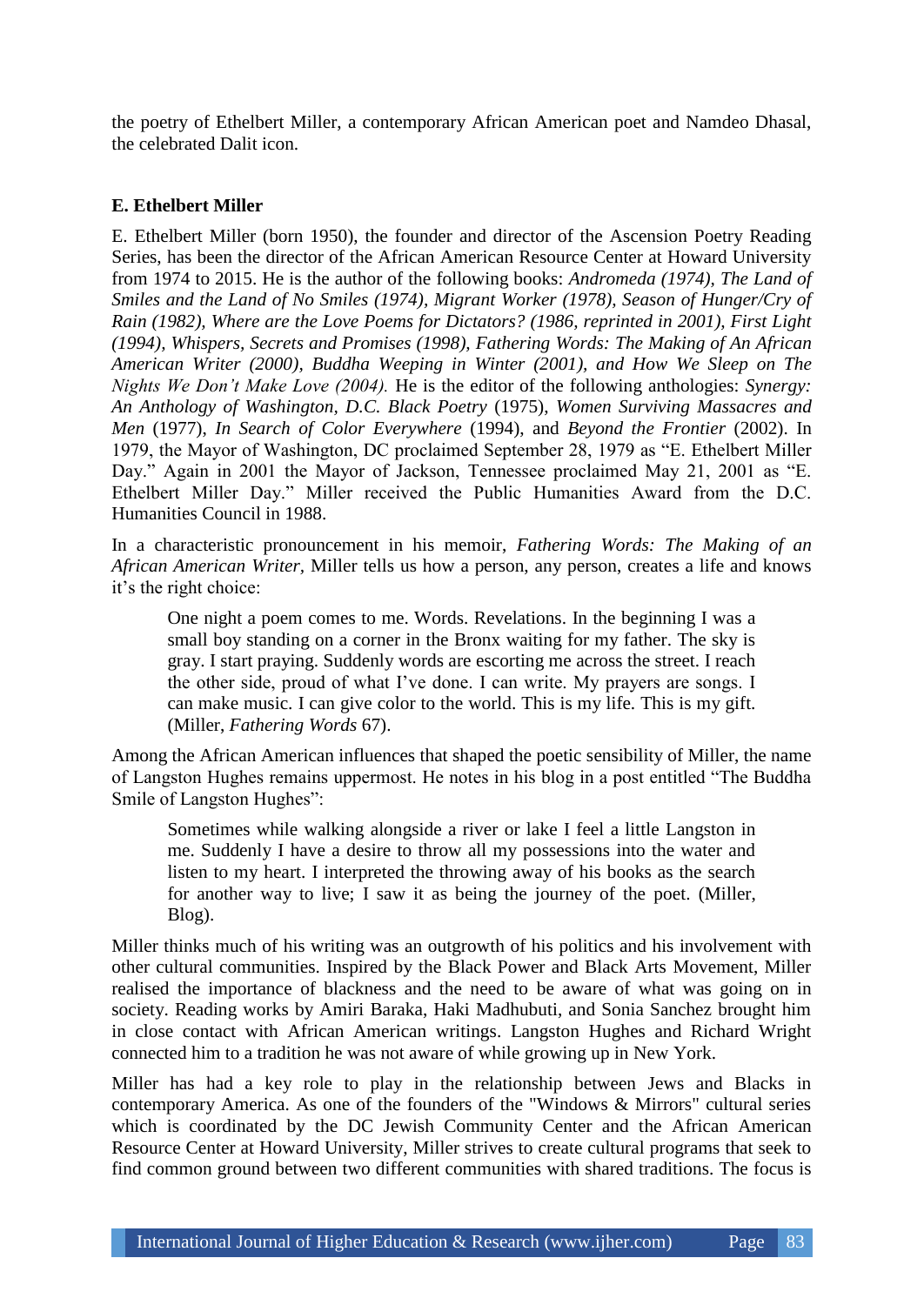the poetry of Ethelbert Miller, a contemporary African American poet and Namdeo Dhasal, the celebrated Dalit icon.

## **E. Ethelbert Miller**

E. Ethelbert Miller (born 1950), the founder and director of the Ascension Poetry Reading Series, has been the director of the African American Resource Center at Howard University from 1974 to 2015. He is the author of the following books: *Andromeda (1974), The Land of Smiles and the Land of No Smiles (1974), Migrant Worker (1978), Season of Hunger/Cry of Rain (1982), Where are the Love Poems for Dictators? (1986, reprinted in 2001), First Light (1994), Whispers, Secrets and Promises (1998), Fathering Words: The Making of An African American Writer (2000), Buddha Weeping in Winter (2001), and How We Sleep on The Nights We Don't Make Love (2004).* He is the editor of the following anthologies: *Synergy: An Anthology of Washington, D.C. Black Poetry* (1975), *Women Surviving Massacres and Men* (1977), *In Search of Color Everywhere* (1994), and *Beyond the Frontier* (2002). In 1979, the Mayor of Washington, DC proclaimed September 28, 1979 as "E. Ethelbert Miller Day." Again in 2001 the Mayor of Jackson, Tennessee proclaimed May 21, 2001 as "E. Ethelbert Miller Day." Miller received the Public Humanities Award from the D.C. Humanities Council in 1988.

In a characteristic pronouncement in his memoir, *Fathering Words: The Making of an African American Writer,* Miller tells us how a person, any person, creates a life and knows it's the right choice:

One night a poem comes to me. Words. Revelations. In the beginning I was a small boy standing on a corner in the Bronx waiting for my father. The sky is gray. I start praying. Suddenly words are escorting me across the street. I reach the other side, proud of what I've done. I can write. My prayers are songs. I can make music. I can give color to the world. This is my life. This is my gift. (Miller, *Fathering Words* 67).

Among the African American influences that shaped the poetic sensibility of Miller, the name of Langston Hughes remains uppermost. He notes in his blog in a post entitled "The Buddha Smile of Langston Hughes":

Sometimes while walking alongside a river or lake I feel a little Langston in me. Suddenly I have a desire to throw all my possessions into the water and listen to my heart. I interpreted the throwing away of his books as the search for another way to live; I saw it as being the journey of the poet. (Miller, Blog).

Miller thinks much of his writing was an outgrowth of his politics and his involvement with other cultural communities. Inspired by the Black Power and Black Arts Movement, Miller realised the importance of blackness and the need to be aware of what was going on in society. Reading works by Amiri Baraka, Haki Madhubuti, and Sonia Sanchez brought him in close contact with African American writings. Langston Hughes and Richard Wright connected him to a tradition he was not aware of while growing up in New York.

Miller has had a key role to play in the relationship between Jews and Blacks in contemporary America. As one of the founders of the "Windows & Mirrors" cultural series which is coordinated by the DC Jewish Community Center and the African American Resource Center at Howard University, Miller strives to create cultural programs that seek to find common ground between two different communities with shared traditions. The focus is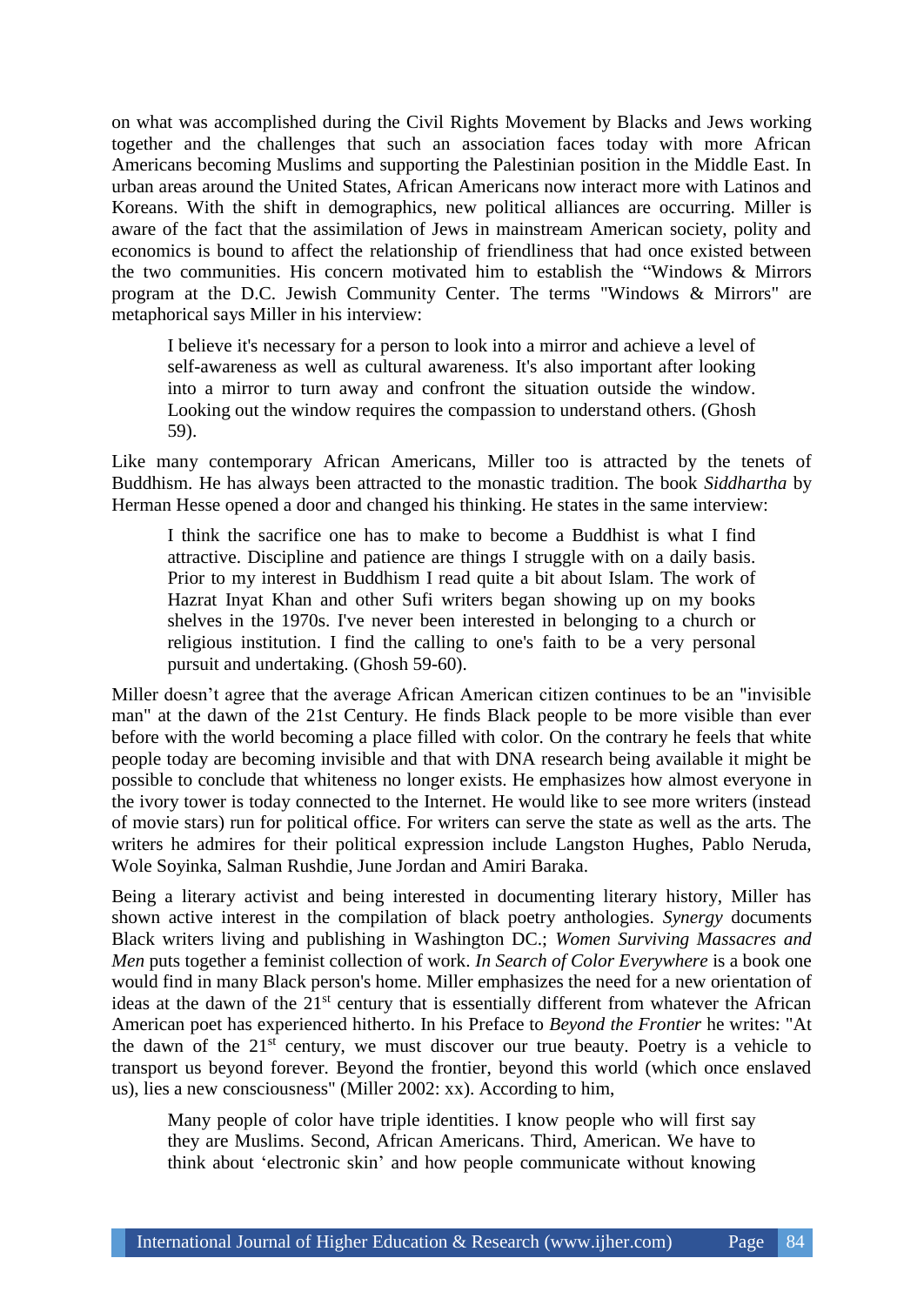on what was accomplished during the Civil Rights Movement by Blacks and Jews working together and the challenges that such an association faces today with more African Americans becoming Muslims and supporting the Palestinian position in the Middle East. In urban areas around the United States, African Americans now interact more with Latinos and Koreans. With the shift in demographics, new political alliances are occurring. Miller is aware of the fact that the assimilation of Jews in mainstream American society, polity and economics is bound to affect the relationship of friendliness that had once existed between the two communities. His concern motivated him to establish the "Windows & Mirrors program at the D.C. Jewish Community Center. The terms "Windows & Mirrors" are metaphorical says Miller in his interview:

I believe it's necessary for a person to look into a mirror and achieve a level of self-awareness as well as cultural awareness. It's also important after looking into a mirror to turn away and confront the situation outside the window. Looking out the window requires the compassion to understand others. (Ghosh 59).

Like many contemporary African Americans, Miller too is attracted by the tenets of Buddhism. He has always been attracted to the monastic tradition. The book *Siddhartha* by Herman Hesse opened a door and changed his thinking. He states in the same interview:

I think the sacrifice one has to make to become a Buddhist is what I find attractive. Discipline and patience are things I struggle with on a daily basis. Prior to my interest in Buddhism I read quite a bit about Islam. The work of Hazrat Inyat Khan and other Sufi writers began showing up on my books shelves in the 1970s. I've never been interested in belonging to a church or religious institution. I find the calling to one's faith to be a very personal pursuit and undertaking. (Ghosh 59-60).

Miller doesn't agree that the average African American citizen continues to be an "invisible man" at the dawn of the 21st Century. He finds Black people to be more visible than ever before with the world becoming a place filled with color. On the contrary he feels that white people today are becoming invisible and that with DNA research being available it might be possible to conclude that whiteness no longer exists. He emphasizes how almost everyone in the ivory tower is today connected to the Internet. He would like to see more writers (instead of movie stars) run for political office. For writers can serve the state as well as the arts. The writers he admires for their political expression include Langston Hughes, Pablo Neruda, Wole Soyinka, Salman Rushdie, June Jordan and Amiri Baraka.

Being a literary activist and being interested in documenting literary history, Miller has shown active interest in the compilation of black poetry anthologies. *Synergy* documents Black writers living and publishing in Washington DC.; *Women Surviving Massacres and Men* puts together a feminist collection of work. *In Search of Color Everywhere* is a book one would find in many Black person's home. Miller emphasizes the need for a new orientation of ideas at the dawn of the  $21<sup>st</sup>$  century that is essentially different from whatever the African American poet has experienced hitherto. In his Preface to *Beyond the Frontier* he writes: "At the dawn of the  $21<sup>st</sup>$  century, we must discover our true beauty. Poetry is a vehicle to transport us beyond forever. Beyond the frontier, beyond this world (which once enslaved us), lies a new consciousness" (Miller 2002: xx). According to him,

Many people of color have triple identities. I know people who will first say they are Muslims. Second, African Americans. Third, American. We have to think about 'electronic skin' and how people communicate without knowing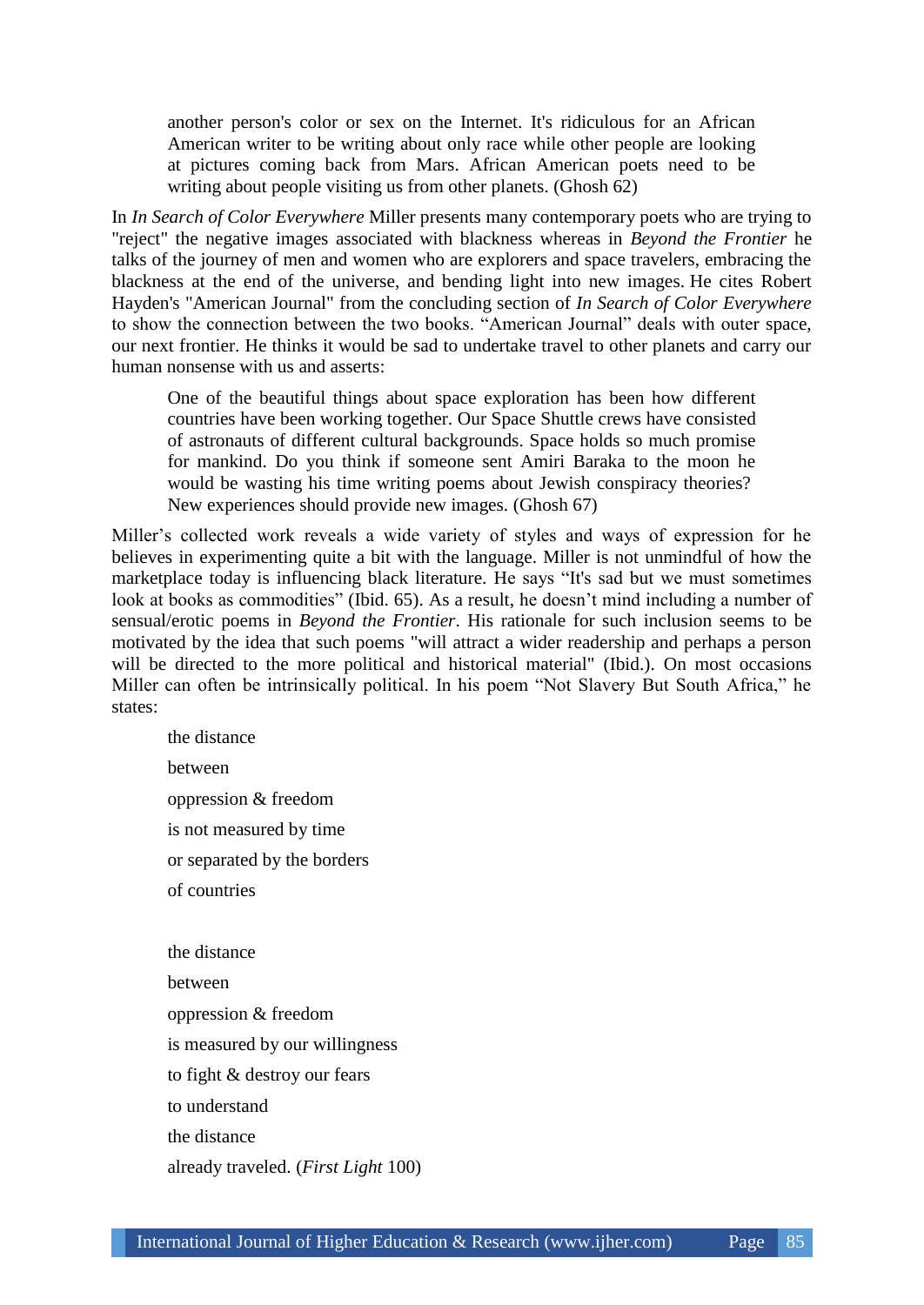another person's color or sex on the Internet. It's ridiculous for an African American writer to be writing about only race while other people are looking at pictures coming back from Mars. African American poets need to be writing about people visiting us from other planets. (Ghosh 62)

In *In Search of Color Everywhere* Miller presents many contemporary poets who are trying to "reject" the negative images associated with blackness whereas in *Beyond the Frontier* he talks of the journey of men and women who are explorers and space travelers, embracing the blackness at the end of the universe, and bending light into new images. He cites Robert Hayden's "American Journal" from the concluding section of *In Search of Color Everywhere*  to show the connection between the two books. "American Journal" deals with outer space, our next frontier. He thinks it would be sad to undertake travel to other planets and carry our human nonsense with us and asserts:

One of the beautiful things about space exploration has been how different countries have been working together. Our Space Shuttle crews have consisted of astronauts of different cultural backgrounds. Space holds so much promise for mankind. Do you think if someone sent Amiri Baraka to the moon he would be wasting his time writing poems about Jewish conspiracy theories? New experiences should provide new images. (Ghosh 67)

Miller's collected work reveals a wide variety of styles and ways of expression for he believes in experimenting quite a bit with the language. Miller is not unmindful of how the marketplace today is influencing black literature. He says "It's sad but we must sometimes look at books as commodities" (Ibid. 65). As a result, he doesn't mind including a number of sensual/erotic poems in *Beyond the Frontier*. His rationale for such inclusion seems to be motivated by the idea that such poems "will attract a wider readership and perhaps a person will be directed to the more political and historical material" (Ibid.). On most occasions Miller can often be intrinsically political. In his poem "Not Slavery But South Africa," he states:

the distance between oppression & freedom is not measured by time or separated by the borders of countries the distance between oppression & freedom is measured by our willingness to fight & destroy our fears to understand the distance already traveled. (*First Light* 100)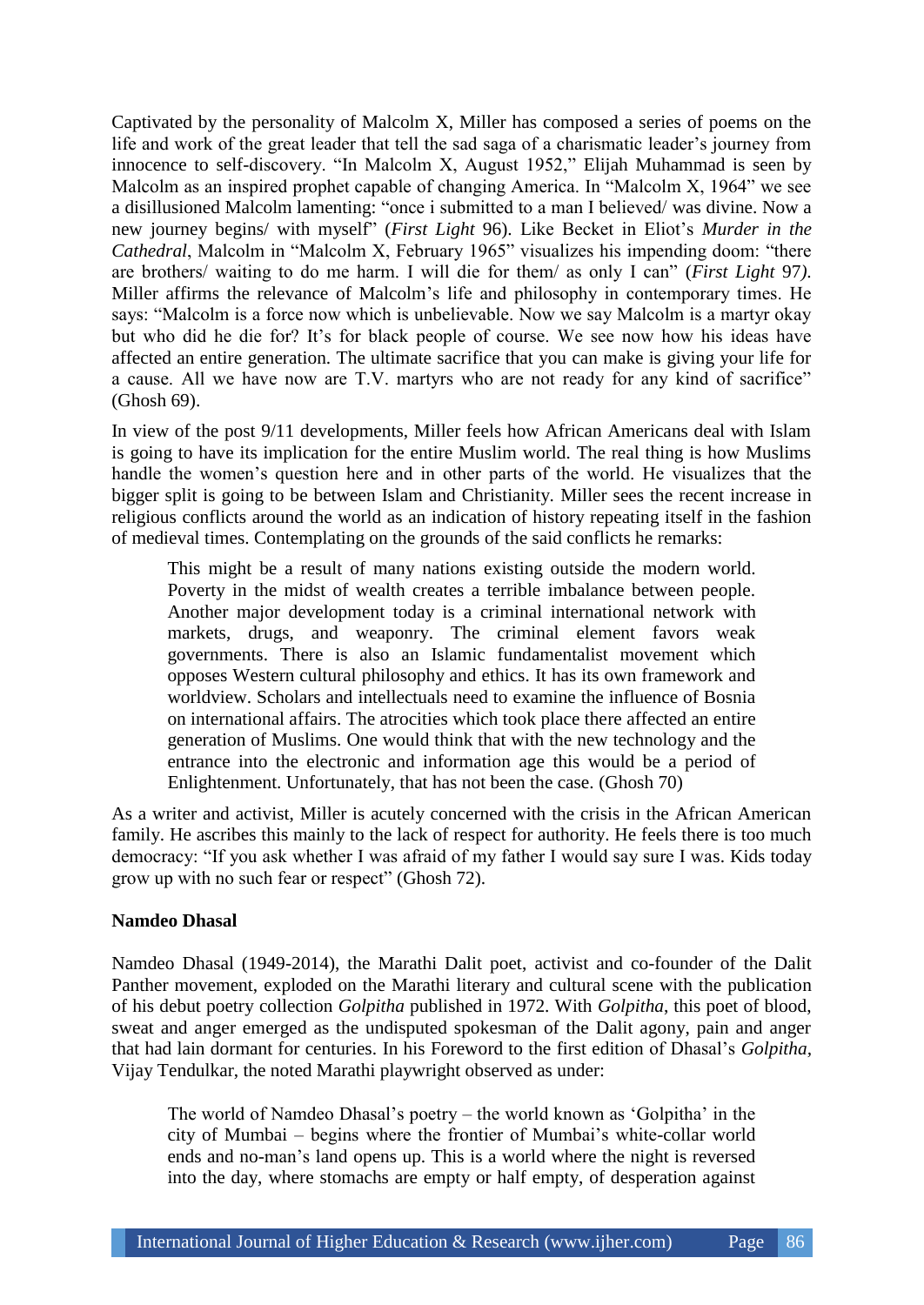Captivated by the personality of Malcolm X, Miller has composed a series of poems on the life and work of the great leader that tell the sad saga of a charismatic leader's journey from innocence to self-discovery. "In Malcolm X, August 1952," Elijah Muhammad is seen by Malcolm as an inspired prophet capable of changing America. In "Malcolm X, 1964" we see a disillusioned Malcolm lamenting: "once i submitted to a man I believed/ was divine. Now a new journey begins/ with myself" (*First Light* 96). Like Becket in Eliot's *Murder in the Cathedral*, Malcolm in "Malcolm X, February 1965" visualizes his impending doom: "there are brothers/ waiting to do me harm. I will die for them/ as only I can" (*First Light* 97*)*. Miller affirms the relevance of Malcolm's life and philosophy in contemporary times. He says: "Malcolm is a force now which is unbelievable. Now we say Malcolm is a martyr okay but who did he die for? It's for black people of course. We see now how his ideas have affected an entire generation. The ultimate sacrifice that you can make is giving your life for a cause. All we have now are T.V. martyrs who are not ready for any kind of sacrifice" (Ghosh 69).

In view of the post 9/11 developments, Miller feels how African Americans deal with Islam is going to have its implication for the entire Muslim world. The real thing is how Muslims handle the women's question here and in other parts of the world. He visualizes that the bigger split is going to be between Islam and Christianity. Miller sees the recent increase in religious conflicts around the world as an indication of history repeating itself in the fashion of medieval times. Contemplating on the grounds of the said conflicts he remarks:

This might be a result of many nations existing outside the modern world. Poverty in the midst of wealth creates a terrible imbalance between people. Another major development today is a criminal international network with markets, drugs, and weaponry. The criminal element favors weak governments. There is also an Islamic fundamentalist movement which opposes Western cultural philosophy and ethics. It has its own framework and worldview. Scholars and intellectuals need to examine the influence of Bosnia on international affairs. The atrocities which took place there affected an entire generation of Muslims. One would think that with the new technology and the entrance into the electronic and information age this would be a period of Enlightenment. Unfortunately, that has not been the case. (Ghosh 70)

As a writer and activist, Miller is acutely concerned with the crisis in the African American family. He ascribes this mainly to the lack of respect for authority. He feels there is too much democracy: "If you ask whether I was afraid of my father I would say sure I was. Kids today grow up with no such fear or respect" (Ghosh 72).

### **Namdeo Dhasal**

Namdeo Dhasal (1949-2014), the Marathi Dalit poet, activist and co-founder of the Dalit Panther movement, exploded on the Marathi literary and cultural scene with the publication of his debut poetry collection *Golpitha* published in 1972. With *Golpitha*, this poet of blood, sweat and anger emerged as the undisputed spokesman of the Dalit agony, pain and anger that had lain dormant for centuries. In his Foreword to the first edition of Dhasal's *Golpitha,*  Vijay Tendulkar, the noted Marathi playwright observed as under:

The world of Namdeo Dhasal's poetry – the world known as 'Golpitha' in the city of Mumbai – begins where the frontier of Mumbai's white-collar world ends and no-man's land opens up. This is a world where the night is reversed into the day, where stomachs are empty or half empty, of desperation against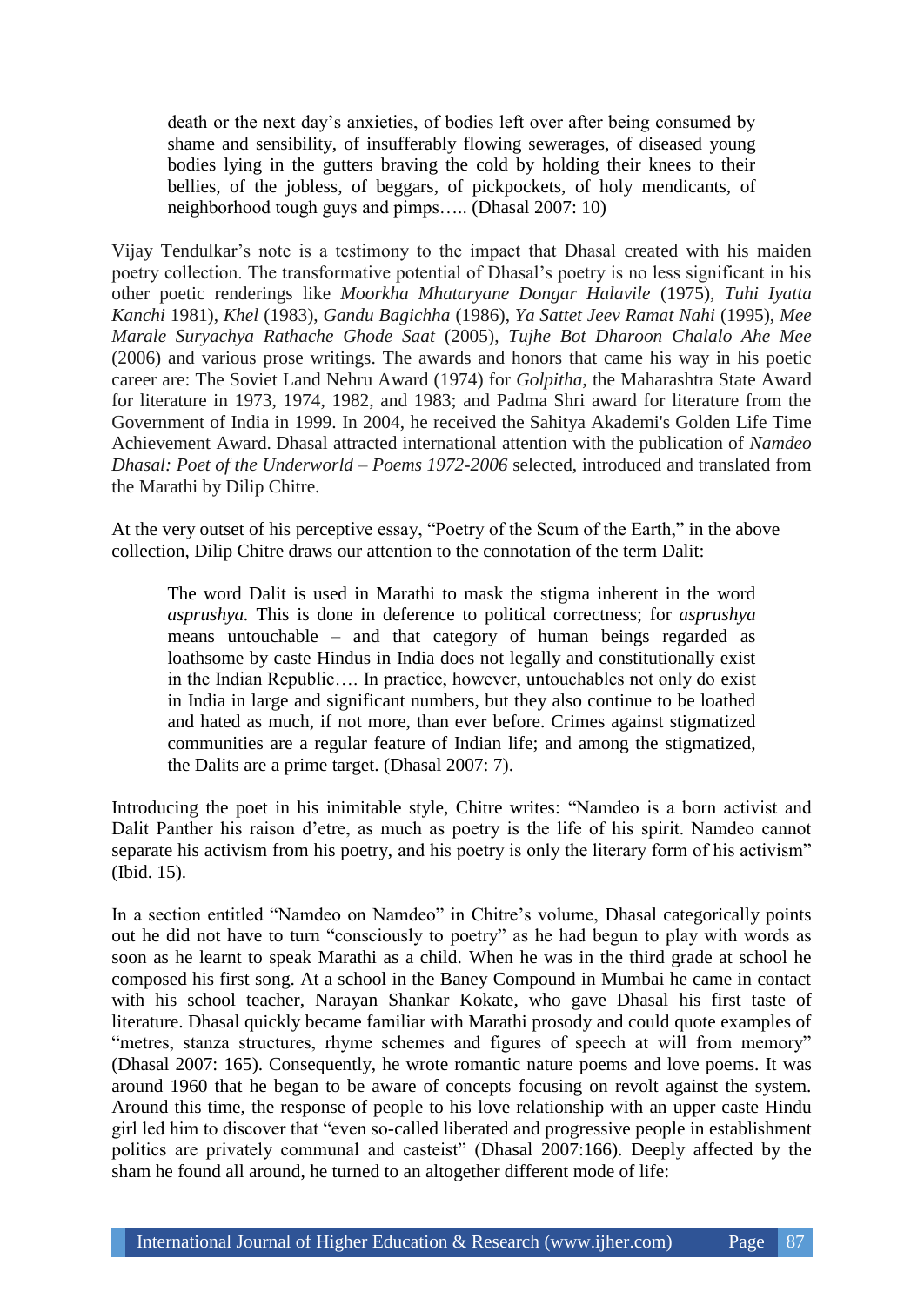death or the next day's anxieties, of bodies left over after being consumed by shame and sensibility, of insufferably flowing sewerages, of diseased young bodies lying in the gutters braving the cold by holding their knees to their bellies, of the jobless, of beggars, of pickpockets, of holy mendicants, of neighborhood tough guys and pimps….. (Dhasal 2007: 10)

Vijay Tendulkar's note is a testimony to the impact that Dhasal created with his maiden poetry collection. The transformative potential of Dhasal's poetry is no less significant in his other poetic renderings like *Moorkha Mhataryane Dongar Halavile* (1975), *Tuhi Iyatta Kanchi* 1981), *Khel* (1983), *Gandu Bagichha* (1986), *Ya Sattet Jeev Ramat Nahi* (1995), *Mee Marale Suryachya Rathache Ghode Saat* (2005), *Tujhe Bot Dharoon Chalalo Ahe Mee* (2006) and various prose writings. The awards and honors that came his way in his poetic career are: The Soviet Land Nehru Award (1974) for *Golpitha,* the Maharashtra State Award for literature in 1973, 1974, 1982, and 1983; and Padma Shri award for literature from the Government of India in 1999. In 2004, he received the Sahitya Akademi's Golden Life Time Achievement Award. Dhasal attracted international attention with the publication of *Namdeo Dhasal: Poet of the Underworld* – *Poems 1972-2006* selected, introduced and translated from the Marathi by Dilip Chitre.

At the very outset of his perceptive essay, "Poetry of the Scum of the Earth," in the above collection, Dilip Chitre draws our attention to the connotation of the term Dalit:

The word Dalit is used in Marathi to mask the stigma inherent in the word *asprushya.* This is done in deference to political correctness; for *asprushya* means untouchable – and that category of human beings regarded as loathsome by caste Hindus in India does not legally and constitutionally exist in the Indian Republic…. In practice, however, untouchables not only do exist in India in large and significant numbers, but they also continue to be loathed and hated as much, if not more, than ever before. Crimes against stigmatized communities are a regular feature of Indian life; and among the stigmatized, the Dalits are a prime target. (Dhasal 2007: 7).

Introducing the poet in his inimitable style, Chitre writes: "Namdeo is a born activist and Dalit Panther his raison d'etre, as much as poetry is the life of his spirit. Namdeo cannot separate his activism from his poetry, and his poetry is only the literary form of his activism" (Ibid. 15).

In a section entitled "Namdeo on Namdeo" in Chitre's volume, Dhasal categorically points out he did not have to turn "consciously to poetry" as he had begun to play with words as soon as he learnt to speak Marathi as a child. When he was in the third grade at school he composed his first song. At a school in the Baney Compound in Mumbai he came in contact with his school teacher, Narayan Shankar Kokate, who gave Dhasal his first taste of literature. Dhasal quickly became familiar with Marathi prosody and could quote examples of "metres, stanza structures, rhyme schemes and figures of speech at will from memory" (Dhasal 2007: 165). Consequently, he wrote romantic nature poems and love poems. It was around 1960 that he began to be aware of concepts focusing on revolt against the system. Around this time, the response of people to his love relationship with an upper caste Hindu girl led him to discover that "even so-called liberated and progressive people in establishment politics are privately communal and casteist" (Dhasal 2007:166). Deeply affected by the sham he found all around, he turned to an altogether different mode of life: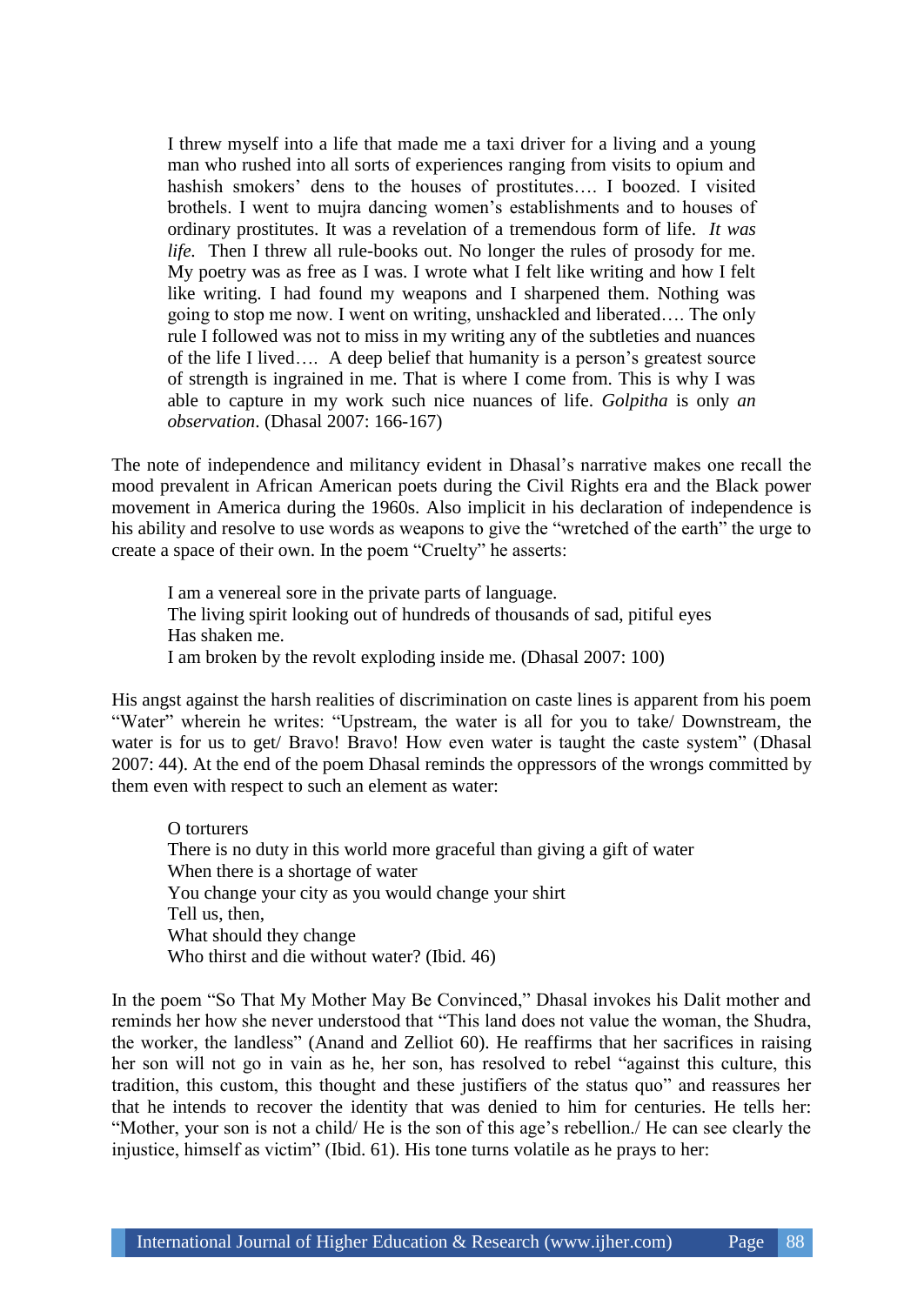I threw myself into a life that made me a taxi driver for a living and a young man who rushed into all sorts of experiences ranging from visits to opium and hashish smokers' dens to the houses of prostitutes…. I boozed. I visited brothels. I went to mujra dancing women's establishments and to houses of ordinary prostitutes. It was a revelation of a tremendous form of life. *It was life.* Then I threw all rule-books out. No longer the rules of prosody for me. My poetry was as free as I was. I wrote what I felt like writing and how I felt like writing. I had found my weapons and I sharpened them. Nothing was going to stop me now. I went on writing, unshackled and liberated…. The only rule I followed was not to miss in my writing any of the subtleties and nuances of the life I lived…. A deep belief that humanity is a person's greatest source of strength is ingrained in me. That is where I come from. This is why I was able to capture in my work such nice nuances of life. *Golpitha* is only *an observation*. (Dhasal 2007: 166-167)

The note of independence and militancy evident in Dhasal's narrative makes one recall the mood prevalent in African American poets during the Civil Rights era and the Black power movement in America during the 1960s. Also implicit in his declaration of independence is his ability and resolve to use words as weapons to give the "wretched of the earth" the urge to create a space of their own. In the poem "Cruelty" he asserts:

I am a venereal sore in the private parts of language. The living spirit looking out of hundreds of thousands of sad, pitiful eyes Has shaken me. I am broken by the revolt exploding inside me. (Dhasal 2007: 100)

His angst against the harsh realities of discrimination on caste lines is apparent from his poem "Water" wherein he writes: "Upstream, the water is all for you to take/ Downstream, the water is for us to get/ Bravo! Bravo! How even water is taught the caste system" (Dhasal 2007: 44). At the end of the poem Dhasal reminds the oppressors of the wrongs committed by them even with respect to such an element as water:

O torturers There is no duty in this world more graceful than giving a gift of water When there is a shortage of water You change your city as you would change your shirt Tell us, then, What should they change Who thirst and die without water? (Ibid. 46)

In the poem "So That My Mother May Be Convinced," Dhasal invokes his Dalit mother and reminds her how she never understood that "This land does not value the woman, the Shudra, the worker, the landless" (Anand and Zelliot 60). He reaffirms that her sacrifices in raising her son will not go in vain as he, her son, has resolved to rebel "against this culture, this tradition, this custom, this thought and these justifiers of the status quo" and reassures her that he intends to recover the identity that was denied to him for centuries. He tells her: "Mother, your son is not a child/ He is the son of this age's rebellion./ He can see clearly the injustice, himself as victim" (Ibid. 61). His tone turns volatile as he prays to her: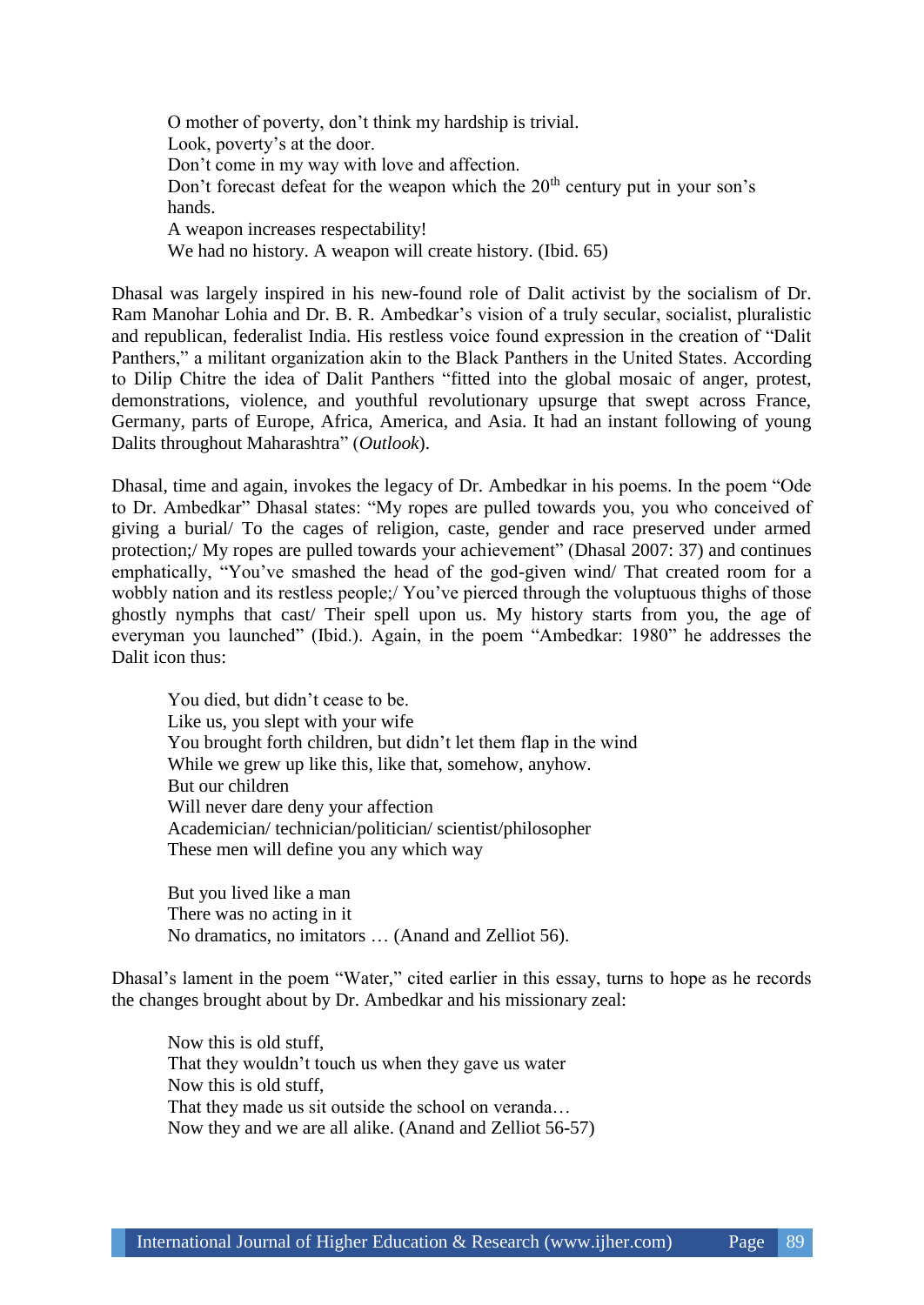O mother of poverty, don't think my hardship is trivial. Look, poverty's at the door. Don't come in my way with love and affection. Don't forecast defeat for the weapon which the  $20<sup>th</sup>$  century put in your son's hands. A weapon increases respectability! We had no history. A weapon will create history. (Ibid. 65)

Dhasal was largely inspired in his new-found role of Dalit activist by the socialism of Dr. Ram Manohar Lohia and Dr. B. R. Ambedkar's vision of a truly secular, socialist, pluralistic and republican, federalist India. His restless voice found expression in the creation of "Dalit Panthers," a militant organization akin to the Black Panthers in the United States. According to Dilip Chitre the idea of Dalit Panthers "fitted into the global mosaic of anger, protest, demonstrations, violence, and youthful revolutionary upsurge that swept across France, Germany, parts of Europe, Africa, America, and Asia. It had an instant following of young Dalits throughout Maharashtra" (*Outlook*).

Dhasal, time and again, invokes the legacy of Dr. Ambedkar in his poems. In the poem "Ode to Dr. Ambedkar" Dhasal states: "My ropes are pulled towards you, you who conceived of giving a burial/ To the cages of religion, caste, gender and race preserved under armed protection;/ My ropes are pulled towards your achievement" (Dhasal 2007: 37) and continues emphatically, "You've smashed the head of the god-given wind/ That created room for a wobbly nation and its restless people;/ You've pierced through the voluptuous thighs of those ghostly nymphs that cast/ Their spell upon us. My history starts from you, the age of everyman you launched" (Ibid.). Again, in the poem "Ambedkar: 1980" he addresses the Dalit icon thus:

You died, but didn't cease to be. Like us, you slept with your wife You brought forth children, but didn't let them flap in the wind While we grew up like this, like that, somehow, anyhow. But our children Will never dare deny your affection Academician/ technician/politician/ scientist/philosopher These men will define you any which way

But you lived like a man There was no acting in it No dramatics, no imitators … (Anand and Zelliot 56).

Dhasal's lament in the poem "Water," cited earlier in this essay, turns to hope as he records the changes brought about by Dr. Ambedkar and his missionary zeal:

Now this is old stuff, That they wouldn't touch us when they gave us water Now this is old stuff, That they made us sit outside the school on veranda… Now they and we are all alike. (Anand and Zelliot 56-57)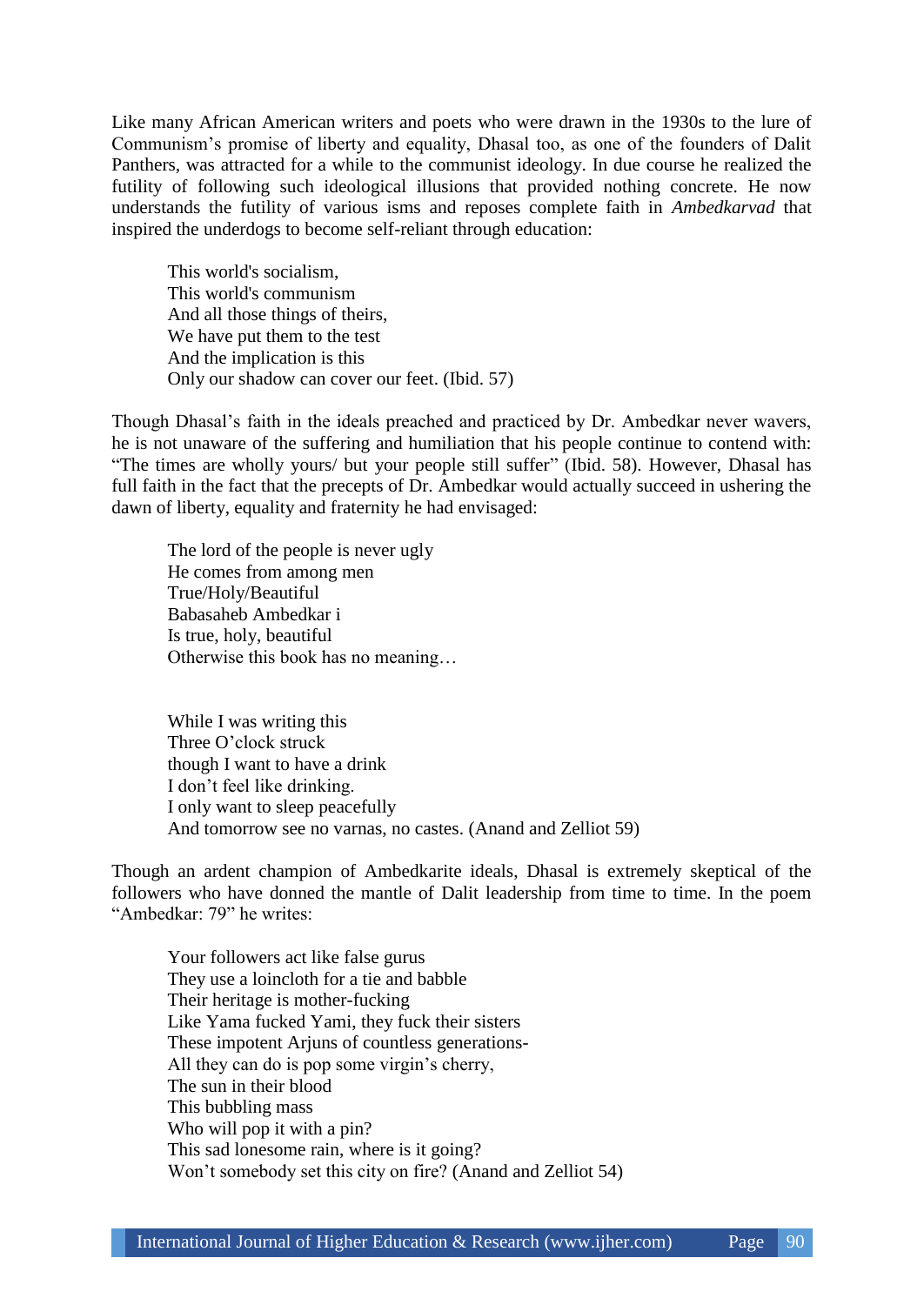Like many African American writers and poets who were drawn in the 1930s to the lure of Communism's promise of liberty and equality, Dhasal too, as one of the founders of Dalit Panthers, was attracted for a while to the communist ideology. In due course he realized the futility of following such ideological illusions that provided nothing concrete. He now understands the futility of various isms and reposes complete faith in *Ambedkarvad* that inspired the underdogs to become self-reliant through education:

This world's socialism, This world's communism And all those things of theirs, We have put them to the test And the implication is this Only our shadow can cover our feet. (Ibid. 57)

Though Dhasal's faith in the ideals preached and practiced by Dr. Ambedkar never wavers, he is not unaware of the suffering and humiliation that his people continue to contend with: "The times are wholly yours/ but your people still suffer" (Ibid. 58). However, Dhasal has full faith in the fact that the precepts of Dr. Ambedkar would actually succeed in ushering the dawn of liberty, equality and fraternity he had envisaged:

The lord of the people is never ugly He comes from among men True/Holy/Beautiful Babasaheb Ambedkar i Is true, holy, beautiful Otherwise this book has no meaning…

While I was writing this Three O'clock struck though I want to have a drink I don't feel like drinking. I only want to sleep peacefully And tomorrow see no varnas, no castes. (Anand and Zelliot 59)

Though an ardent champion of Ambedkarite ideals, Dhasal is extremely skeptical of the followers who have donned the mantle of Dalit leadership from time to time. In the poem "Ambedkar: 79" he writes:

Your followers act like false gurus They use a loincloth for a tie and babble Their heritage is mother-fucking Like Yama fucked Yami, they fuck their sisters These impotent Arjuns of countless generations-All they can do is pop some virgin's cherry, The sun in their blood This bubbling mass Who will pop it with a pin? This sad lonesome rain, where is it going? Won't somebody set this city on fire? (Anand and Zelliot 54)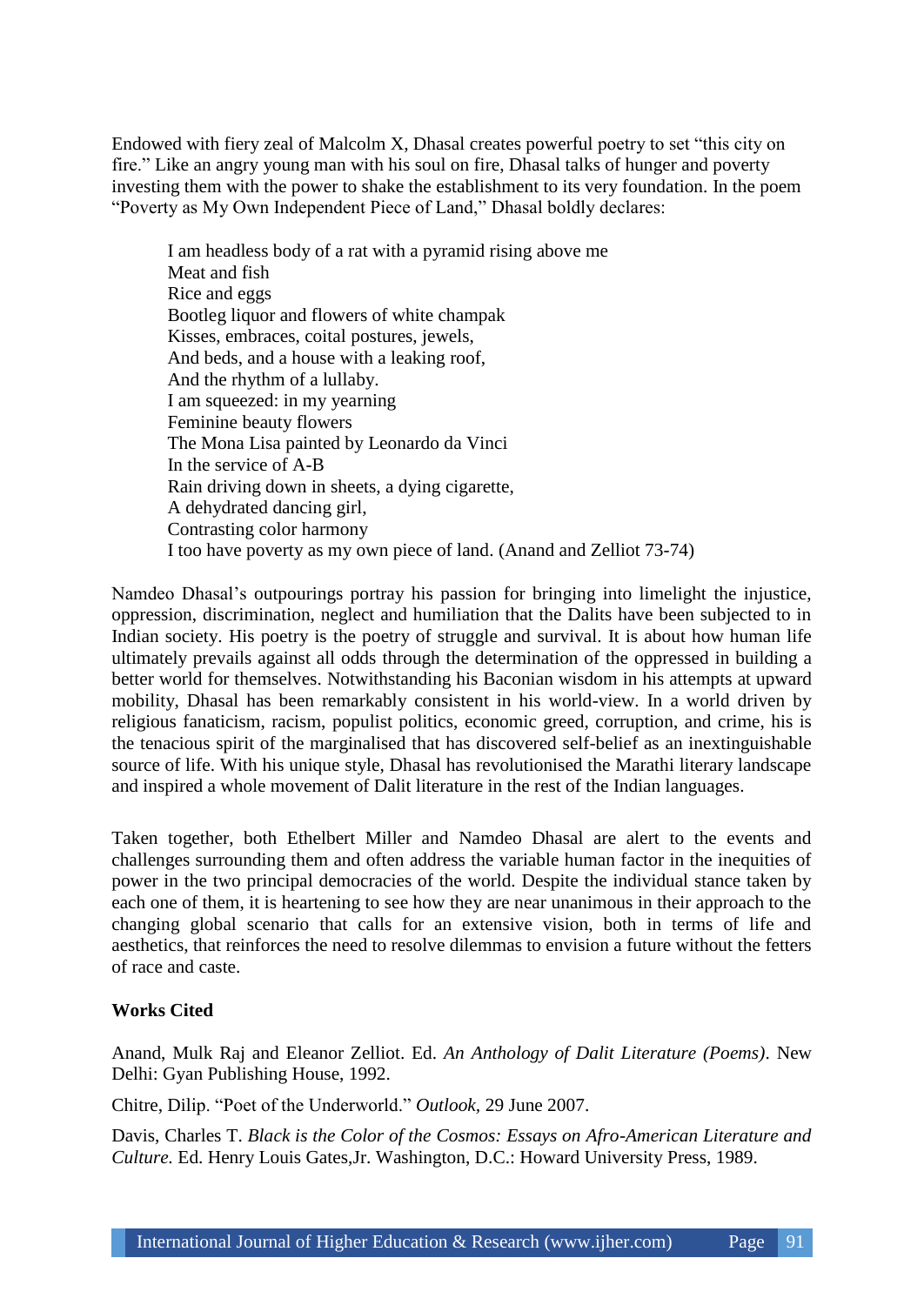Endowed with fiery zeal of Malcolm X, Dhasal creates powerful poetry to set "this city on fire." Like an angry young man with his soul on fire, Dhasal talks of hunger and poverty investing them with the power to shake the establishment to its very foundation. In the poem "Poverty as My Own Independent Piece of Land," Dhasal boldly declares:

I am headless body of a rat with a pyramid rising above me Meat and fish Rice and eggs Bootleg liquor and flowers of white champak Kisses, embraces, coital postures, jewels, And beds, and a house with a leaking roof, And the rhythm of a lullaby. I am squeezed: in my yearning Feminine beauty flowers The Mona Lisa painted by Leonardo da Vinci In the service of A-B Rain driving down in sheets, a dying cigarette, A dehydrated dancing girl, Contrasting color harmony I too have poverty as my own piece of land. (Anand and Zelliot 73-74)

Namdeo Dhasal's outpourings portray his passion for bringing into limelight the injustice, oppression, discrimination, neglect and humiliation that the Dalits have been subjected to in Indian society. His poetry is the poetry of struggle and survival. It is about how human life ultimately prevails against all odds through the determination of the oppressed in building a better world for themselves. Notwithstanding his Baconian wisdom in his attempts at upward mobility, Dhasal has been remarkably consistent in his world-view. In a world driven by religious fanaticism, racism, populist politics, economic greed, corruption, and crime, his is the tenacious spirit of the marginalised that has discovered self-belief as an inextinguishable source of life. With his unique style, Dhasal has revolutionised the Marathi literary landscape and inspired a whole movement of Dalit literature in the rest of the Indian languages.

Taken together, both Ethelbert Miller and Namdeo Dhasal are alert to the events and challenges surrounding them and often address the variable human factor in the inequities of power in the two principal democracies of the world. Despite the individual stance taken by each one of them, it is heartening to see how they are near unanimous in their approach to the changing global scenario that calls for an extensive vision, both in terms of life and aesthetics, that reinforces the need to resolve dilemmas to envision a future without the fetters of race and caste.

### **Works Cited**

Anand, Mulk Raj and Eleanor Zelliot. Ed. *An Anthology of Dalit Literature (Poems)*. New Delhi: Gyan Publishing House, 1992.

Chitre, Dilip. "Poet of the Underworld." *Outlook,* 29 June 2007.

Davis, Charles T. *Black is the Color of the Cosmos: Essays on Afro-American Literature and Culture.* Ed. Henry Louis Gates,Jr. Washington, D.C.: Howard University Press, 1989.